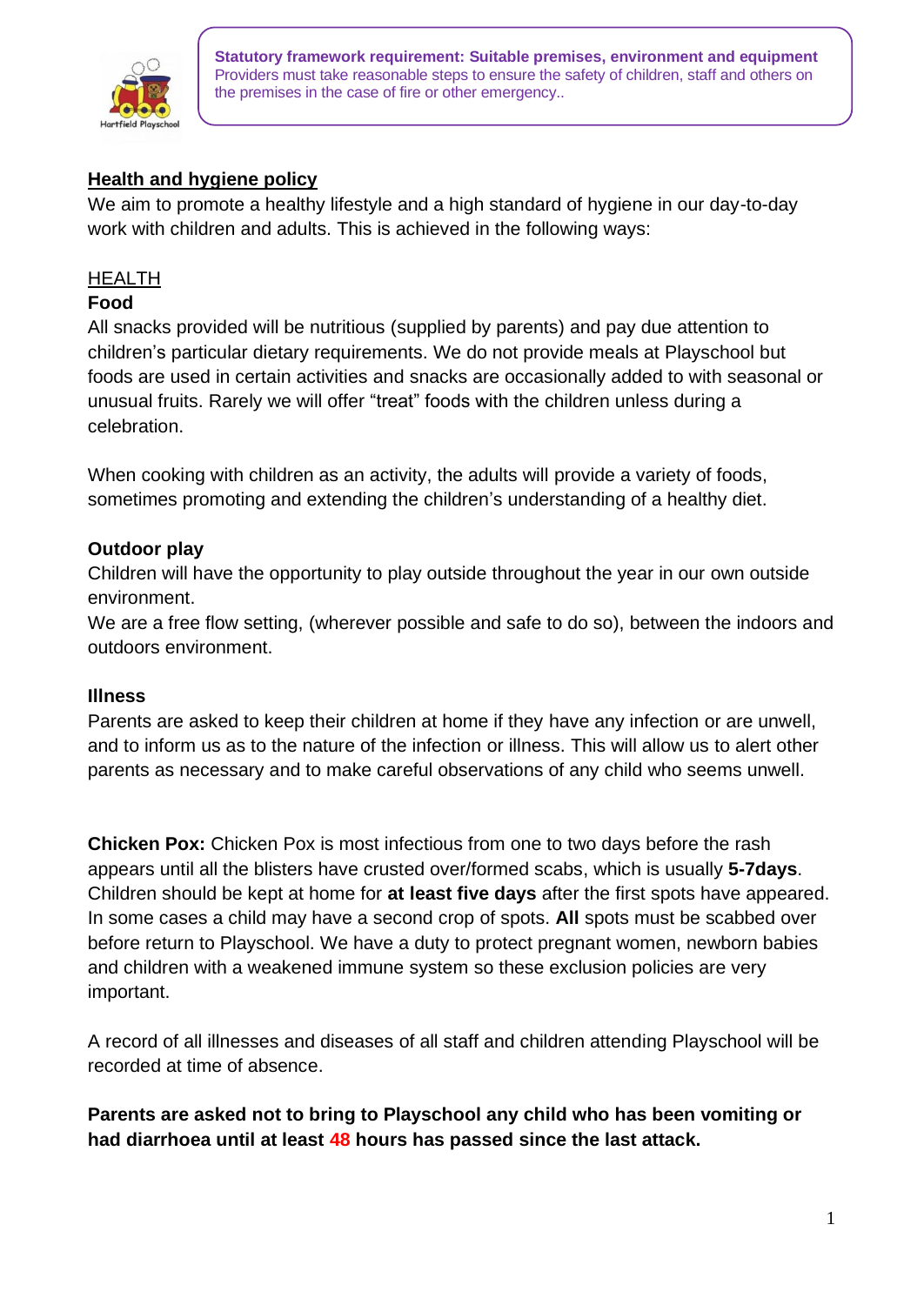

# **Health and hygiene policy**

We aim to promote a healthy lifestyle and a high standard of hygiene in our day-to-day work with children and adults. This is achieved in the following ways:

### HEALTH

#### **Food**

All snacks provided will be nutritious (supplied by parents) and pay due attention to children's particular dietary requirements. We do not provide meals at Playschool but foods are used in certain activities and snacks are occasionally added to with seasonal or unusual fruits. Rarely we will offer "treat" foods with the children unless during a celebration.

When cooking with children as an activity, the adults will provide a variety of foods, sometimes promoting and extending the children's understanding of a healthy diet.

### **Outdoor play**

Children will have the opportunity to play outside throughout the year in our own outside environment.

We are a free flow setting, (wherever possible and safe to do so), between the indoors and outdoors environment.

#### **Illness**

Parents are asked to keep their children at home if they have any infection or are unwell, and to inform us as to the nature of the infection or illness. This will allow us to alert other parents as necessary and to make careful observations of any child who seems unwell.

**Chicken Pox:** Chicken Pox is most infectious from one to two days before the rash appears until all the blisters have crusted over/formed scabs, which is usually **5-7days**. Children should be kept at home for **at least five days** after the first spots have appeared. In some cases a child may have a second crop of spots. **All** spots must be scabbed over before return to Playschool. We have a duty to protect pregnant women, newborn babies and children with a weakened immune system so these exclusion policies are very important.

A record of all illnesses and diseases of all staff and children attending Playschool will be recorded at time of absence.

**Parents are asked not to bring to Playschool any child who has been vomiting or had diarrhoea until at least 48 hours has passed since the last attack.**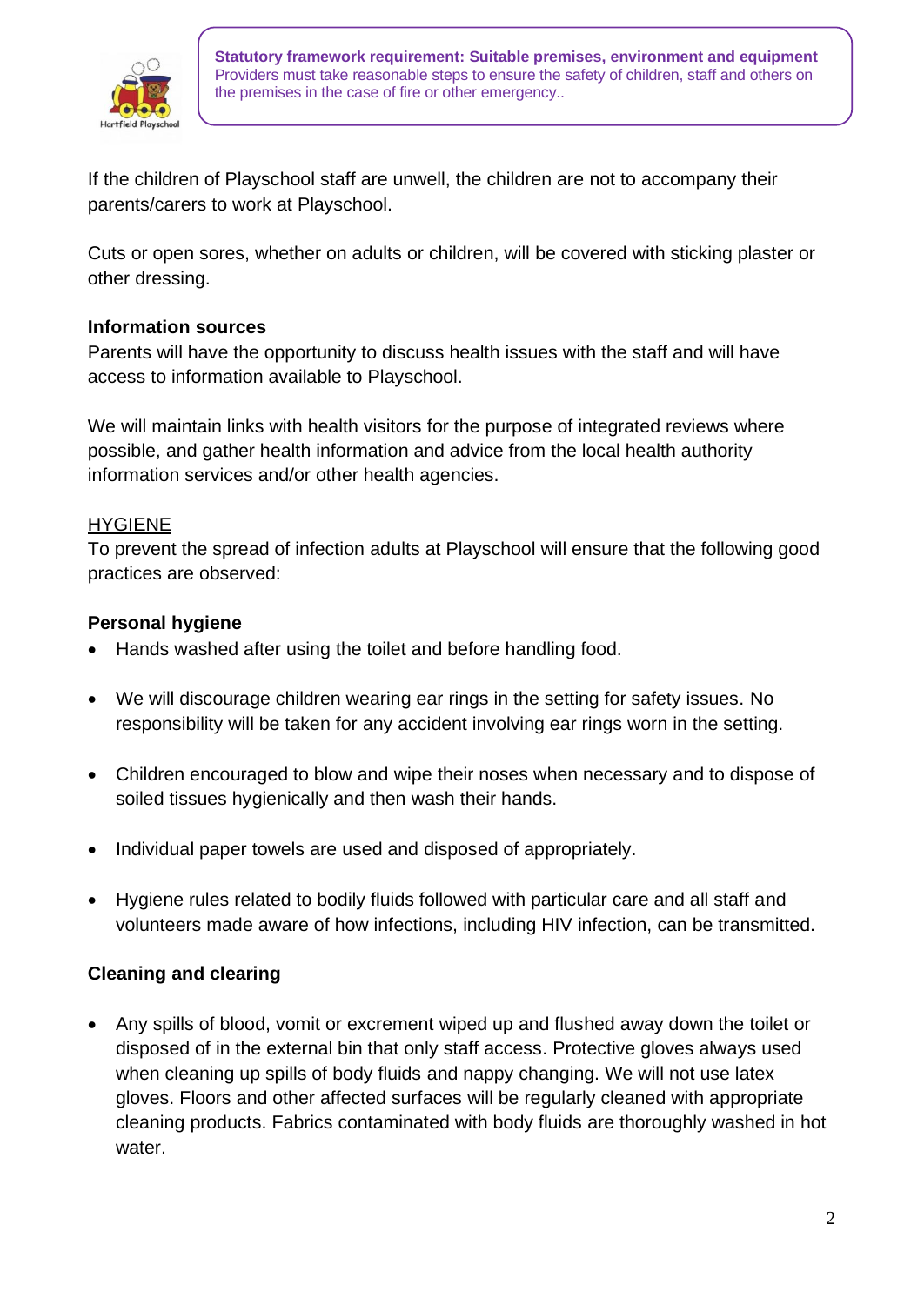

If the children of Playschool staff are unwell, the children are not to accompany their parents/carers to work at Playschool.

Cuts or open sores, whether on adults or children, will be covered with sticking plaster or other dressing.

## **Information sources**

Parents will have the opportunity to discuss health issues with the staff and will have access to information available to Playschool.

We will maintain links with health visitors for the purpose of integrated reviews where possible, and gather health information and advice from the local health authority information services and/or other health agencies.

### HYGIENE

To prevent the spread of infection adults at Playschool will ensure that the following good practices are observed:

## **Personal hygiene**

- Hands washed after using the toilet and before handling food.
- We will discourage children wearing ear rings in the setting for safety issues. No responsibility will be taken for any accident involving ear rings worn in the setting.
- Children encouraged to blow and wipe their noses when necessary and to dispose of soiled tissues hygienically and then wash their hands.
- Individual paper towels are used and disposed of appropriately.
- Hygiene rules related to bodily fluids followed with particular care and all staff and volunteers made aware of how infections, including HIV infection, can be transmitted.

## **Cleaning and clearing**

• Any spills of blood, vomit or excrement wiped up and flushed away down the toilet or disposed of in the external bin that only staff access. Protective gloves always used when cleaning up spills of body fluids and nappy changing. We will not use latex gloves. Floors and other affected surfaces will be regularly cleaned with appropriate cleaning products. Fabrics contaminated with body fluids are thoroughly washed in hot water.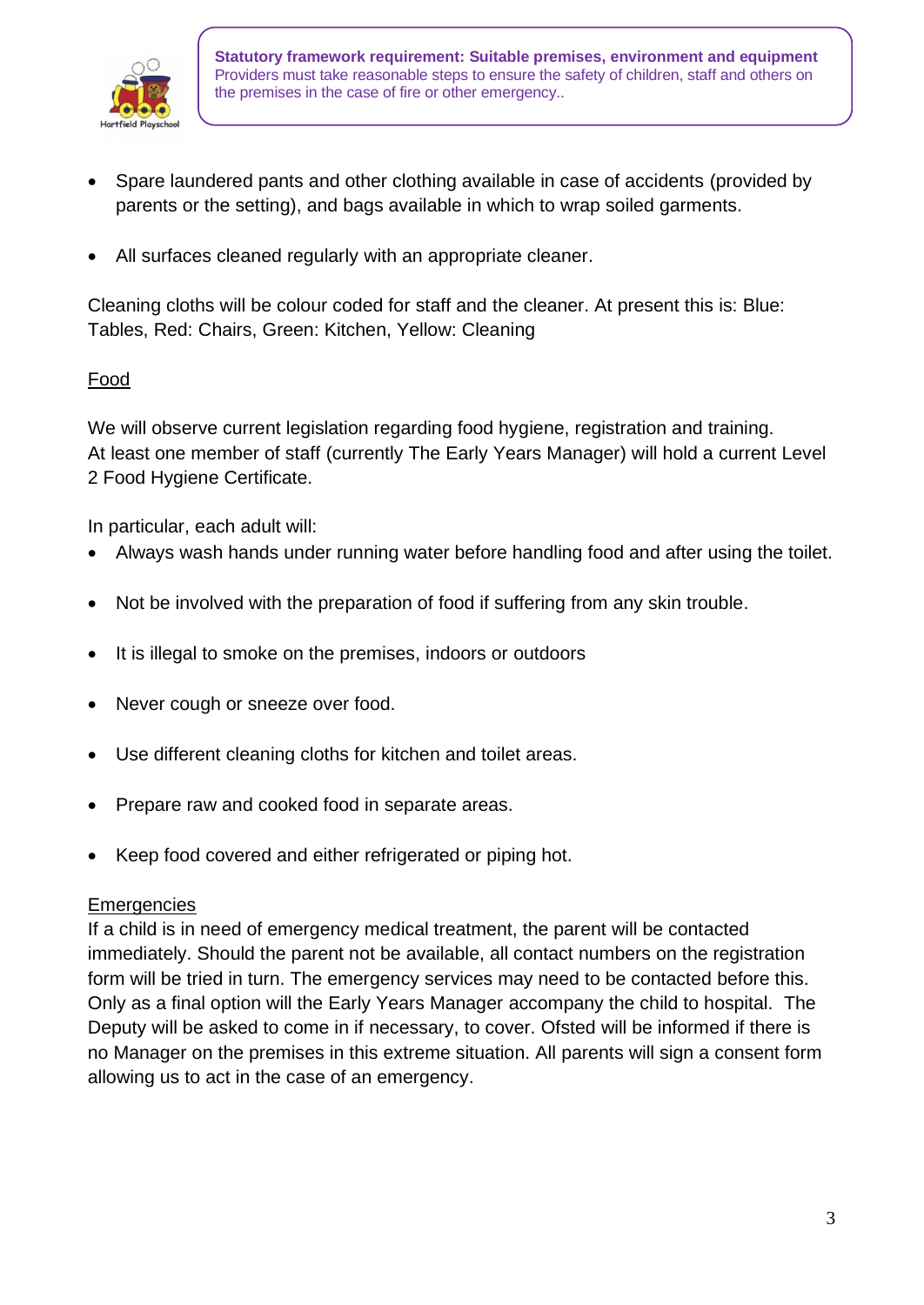

- Spare laundered pants and other clothing available in case of accidents (provided by parents or the setting), and bags available in which to wrap soiled garments.
- All surfaces cleaned regularly with an appropriate cleaner.

Cleaning cloths will be colour coded for staff and the cleaner. At present this is: Blue: Tables, Red: Chairs, Green: Kitchen, Yellow: Cleaning

# Food

We will observe current legislation regarding food hygiene, registration and training. At least one member of staff (currently The Early Years Manager) will hold a current Level 2 Food Hygiene Certificate.

In particular, each adult will:

- Always wash hands under running water before handling food and after using the toilet.
- Not be involved with the preparation of food if suffering from any skin trouble.
- It is illegal to smoke on the premises, indoors or outdoors
- Never cough or sneeze over food.
- Use different cleaning cloths for kitchen and toilet areas.
- Prepare raw and cooked food in separate areas.
- Keep food covered and either refrigerated or piping hot.

#### **Emergencies**

If a child is in need of emergency medical treatment, the parent will be contacted immediately. Should the parent not be available, all contact numbers on the registration form will be tried in turn. The emergency services may need to be contacted before this. Only as a final option will the Early Years Manager accompany the child to hospital. The Deputy will be asked to come in if necessary, to cover. Ofsted will be informed if there is no Manager on the premises in this extreme situation. All parents will sign a consent form allowing us to act in the case of an emergency.